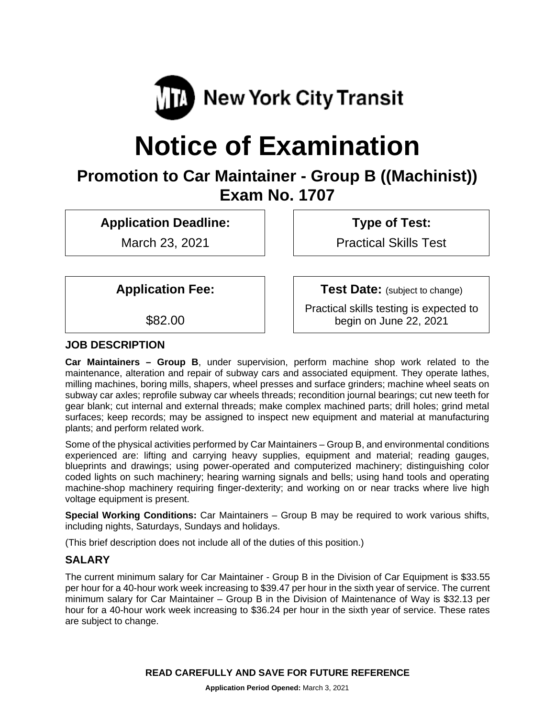

# **Notice of Examination**

# **Promotion to Car Maintainer - Group B ((Machinist)) Exam No. 1707**

**Application Deadline:**

March 23, 2021

**Type of Test:** 

Practical Skills Test

**Application Fee:**

\$82.00

**JOB DESCRIPTION**

**Test Date:** (subject to change)

Practical skills testing is expected to begin on June 22, 2021

**Car Maintainers – Group B**, under supervision, perform machine shop work related to the maintenance, alteration and repair of subway cars and associated equipment. They operate lathes, milling machines, boring mills, shapers, wheel presses and surface grinders; machine wheel seats on subway car axles; reprofile subway car wheels threads; recondition journal bearings; cut new teeth for gear blank; cut internal and external threads; make complex machined parts; drill holes; grind metal surfaces; keep records; may be assigned to inspect new equipment and material at manufacturing plants; and perform related work.

Some of the physical activities performed by Car Maintainers – Group B, and environmental conditions experienced are: lifting and carrying heavy supplies, equipment and material; reading gauges, blueprints and drawings; using power-operated and computerized machinery; distinguishing color coded lights on such machinery; hearing warning signals and bells; using hand tools and operating machine-shop machinery requiring finger-dexterity; and working on or near tracks where live high voltage equipment is present.

**Special Working Conditions:** Car Maintainers – Group B may be required to work various shifts, including nights, Saturdays, Sundays and holidays.

(This brief description does not include all of the duties of this position.)

# **SALARY**

The current minimum salary for Car Maintainer - Group B in the Division of Car Equipment is \$33.55 per hour for a 40-hour work week increasing to \$39.47 per hour in the sixth year of service. The current minimum salary for Car Maintainer – Group B in the Division of Maintenance of Way is \$32.13 per hour for a 40-hour work week increasing to \$36.24 per hour in the sixth year of service. These rates are subject to change.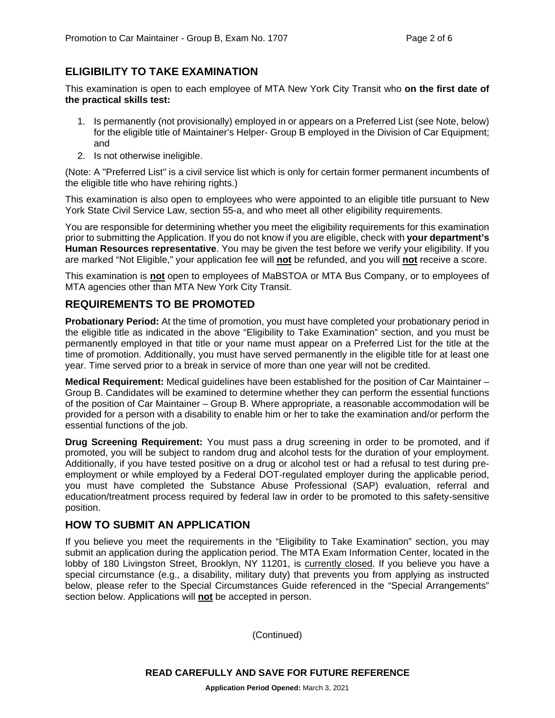# **ELIGIBILITY TO TAKE EXAMINATION**

This examination is open to each employee of MTA New York City Transit who **on the first date of the practical skills test:** 

- 1. Is permanently (not provisionally) employed in or appears on a Preferred List (see Note, below) for the eligible title of Maintainer's Helper- Group B employed in the Division of Car Equipment; and
- 2. Is not otherwise ineligible.

(Note: A "Preferred List" is a civil service list which is only for certain former permanent incumbents of the eligible title who have rehiring rights.)

This examination is also open to employees who were appointed to an eligible title pursuant to New York State Civil Service Law, section 55-a, and who meet all other eligibility requirements.

You are responsible for determining whether you meet the eligibility requirements for this examination prior to submitting the Application. If you do not know if you are eligible, check with **your department's Human Resources representative**. You may be given the test before we verify your eligibility. If you are marked "Not Eligible," your application fee will **not** be refunded, and you will **not** receive a score.

This examination is **not** open to employees of MaBSTOA or MTA Bus Company, or to employees of MTA agencies other than MTA New York City Transit.

## **REQUIREMENTS TO BE PROMOTED**

**Probationary Period:** At the time of promotion, you must have completed your probationary period in the eligible title as indicated in the above "Eligibility to Take Examination" section, and you must be permanently employed in that title or your name must appear on a Preferred List for the title at the time of promotion. Additionally, you must have served permanently in the eligible title for at least one year. Time served prior to a break in service of more than one year will not be credited.

**Medical Requirement:** Medical guidelines have been established for the position of Car Maintainer – Group B. Candidates will be examined to determine whether they can perform the essential functions of the position of Car Maintainer – Group B. Where appropriate, a reasonable accommodation will be provided for a person with a disability to enable him or her to take the examination and/or perform the essential functions of the job.

**Drug Screening Requirement:** You must pass a drug screening in order to be promoted, and if promoted, you will be subject to random drug and alcohol tests for the duration of your employment. Additionally, if you have tested positive on a drug or alcohol test or had a refusal to test during preemployment or while employed by a Federal DOT-regulated employer during the applicable period, you must have completed the Substance Abuse Professional (SAP) evaluation, referral and education/treatment process required by federal law in order to be promoted to this safety-sensitive position.

## **HOW TO SUBMIT AN APPLICATION**

If you believe you meet the requirements in the "Eligibility to Take Examination" section, you may submit an application during the application period. The MTA Exam Information Center, located in the lobby of 180 Livingston Street, Brooklyn, NY 11201, is currently closed. If you believe you have a special circumstance (e.g., a disability, military duty) that prevents you from applying as instructed below, please refer to the Special Circumstances Guide referenced in the "Special Arrangements" section below. Applications will **not** be accepted in person.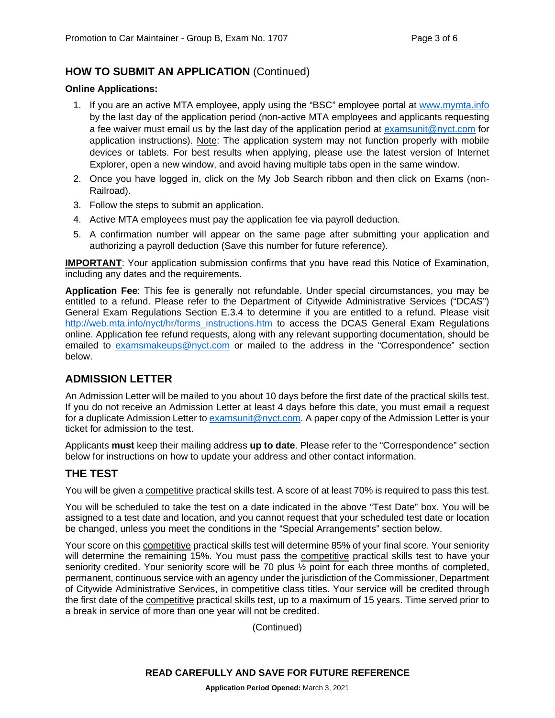# **HOW TO SUBMIT AN APPLICATION** (Continued)

#### **Online Applications:**

- 1. If you are an active MTA employee, apply using the "BSC" employee portal at [www.mymta.info](http://www.mymta.info/) by the last day of the application period (non-active MTA employees and applicants requesting a fee waiver must email us by the last day of the application period at [examsunit@nyct.com](mailto:examsunit@nyct.com) for application instructions). Note: The application system may not function properly with mobile devices or tablets. For best results when applying, please use the latest version of Internet Explorer, open a new window, and avoid having multiple tabs open in the same window.
- 2. Once you have logged in, click on the My Job Search ribbon and then click on Exams (non-Railroad).
- 3. Follow the steps to submit an application.
- 4. Active MTA employees must pay the application fee via payroll deduction.
- 5. A confirmation number will appear on the same page after submitting your application and authorizing a payroll deduction (Save this number for future reference).

**IMPORTANT:** Your application submission confirms that you have read this Notice of Examination, including any dates and the requirements.

**Application Fee**: This fee is generally not refundable. Under special circumstances, you may be entitled to a refund. Please refer to the Department of Citywide Administrative Services ("DCAS") General Exam Regulations Section E.3.4 to determine if you are entitled to a refund. Please visit [http://web.mta.info/nyct/hr/forms\\_instructions.htm](http://web.mta.info/nyct/hr/forms_instructions.htm) to access the DCAS General Exam Regulations online. Application fee refund requests, along with any relevant supporting documentation, should be emailed to [examsmakeups@nyct.com](mailto:examsmakeups@nyct.com) or mailed to the address in the "Correspondence" section below.

# **ADMISSION LETTER**

An Admission Letter will be mailed to you about 10 days before the first date of the practical skills test. If you do not receive an Admission Letter at least 4 days before this date, you must email a request for a duplicate Admission Letter to [examsunit@nyct.com.](mailto:examsunit@nyct.com) A paper copy of the Admission Letter is your ticket for admission to the test.

Applicants **must** keep their mailing address **up to date**. Please refer to the "Correspondence" section below for instructions on how to update your address and other contact information.

# **THE TEST**

You will be given a competitive practical skills test. A score of at least 70% is required to pass this test.

You will be scheduled to take the test on a date indicated in the above "Test Date" box. You will be assigned to a test date and location, and you cannot request that your scheduled test date or location be changed, unless you meet the conditions in the "Special Arrangements" section below.

Your score on this competitive practical skills test will determine 85% of your final score. Your seniority will determine the remaining 15%. You must pass the competitive practical skills test to have your seniority credited. Your seniority score will be 70 plus ½ point for each three months of completed, permanent, continuous service with an agency under the jurisdiction of the Commissioner, Department of Citywide Administrative Services, in competitive class titles. Your service will be credited through the first date of the competitive practical skills test, up to a maximum of 15 years. Time served prior to a break in service of more than one year will not be credited.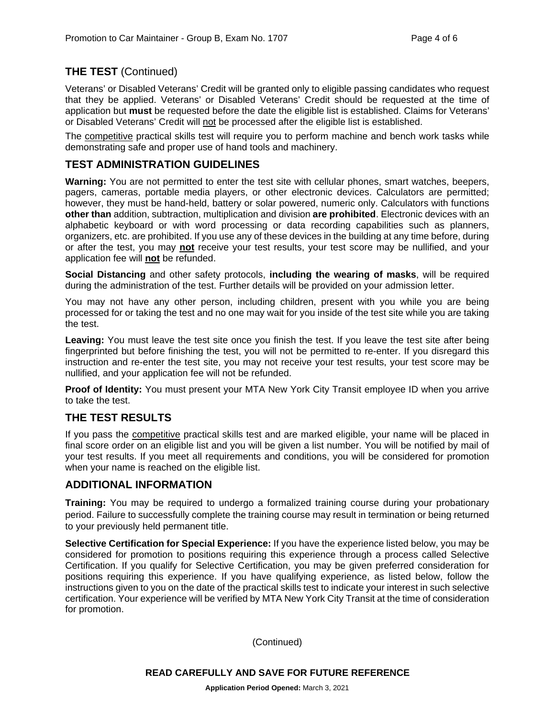# **THE TEST** (Continued)

Veterans' or Disabled Veterans' Credit will be granted only to eligible passing candidates who request that they be applied. Veterans' or Disabled Veterans' Credit should be requested at the time of application but **must** be requested before the date the eligible list is established. Claims for Veterans' or Disabled Veterans' Credit will not be processed after the eligible list is established.

The competitive practical skills test will require you to perform machine and bench work tasks while demonstrating safe and proper use of hand tools and machinery.

# **TEST ADMINISTRATION GUIDELINES**

**Warning:** You are not permitted to enter the test site with cellular phones, smart watches, beepers, pagers, cameras, portable media players, or other electronic devices. Calculators are permitted; however, they must be hand-held, battery or solar powered, numeric only. Calculators with functions **other than** addition, subtraction, multiplication and division **are prohibited**. Electronic devices with an alphabetic keyboard or with word processing or data recording capabilities such as planners, organizers, etc. are prohibited. If you use any of these devices in the building at any time before, during or after the test, you may **not** receive your test results, your test score may be nullified, and your application fee will **not** be refunded.

**Social Distancing** and other safety protocols, **including the wearing of masks**, will be required during the administration of the test. Further details will be provided on your admission letter.

You may not have any other person, including children, present with you while you are being processed for or taking the test and no one may wait for you inside of the test site while you are taking the test.

**Leaving:** You must leave the test site once you finish the test. If you leave the test site after being fingerprinted but before finishing the test, you will not be permitted to re-enter. If you disregard this instruction and re-enter the test site, you may not receive your test results, your test score may be nullified, and your application fee will not be refunded.

**Proof of Identity:** You must present your MTA New York City Transit employee ID when you arrive to take the test.

## **THE TEST RESULTS**

If you pass the competitive practical skills test and are marked eligible, your name will be placed in final score order on an eligible list and you will be given a list number. You will be notified by mail of your test results. If you meet all requirements and conditions, you will be considered for promotion when your name is reached on the eligible list.

#### **ADDITIONAL INFORMATION**

**Training:** You may be required to undergo a formalized training course during your probationary period. Failure to successfully complete the training course may result in termination or being returned to your previously held permanent title.

**Selective Certification for Special Experience:** If you have the experience listed below, you may be considered for promotion to positions requiring this experience through a process called Selective Certification. If you qualify for Selective Certification, you may be given preferred consideration for positions requiring this experience. If you have qualifying experience, as listed below, follow the instructions given to you on the date of the practical skills test to indicate your interest in such selective certification. Your experience will be verified by MTA New York City Transit at the time of consideration for promotion.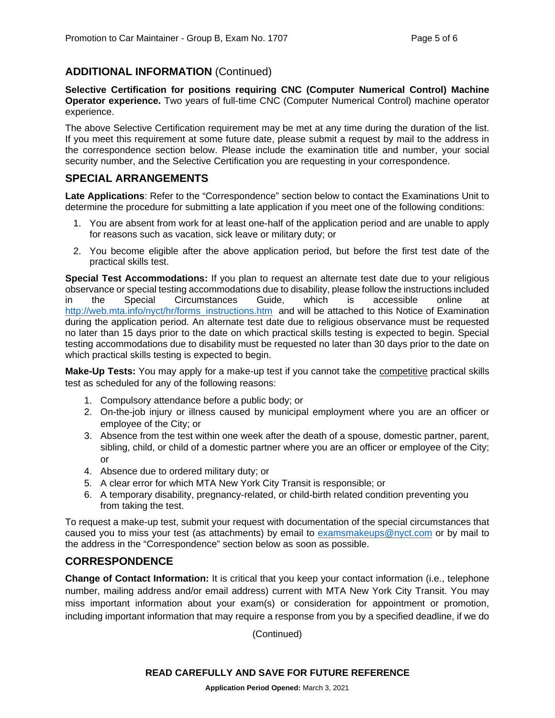# **ADDITIONAL INFORMATION** (Continued)

**Selective Certification for positions requiring CNC (Computer Numerical Control) Machine Operator experience.** Two years of full-time CNC (Computer Numerical Control) machine operator experience.

The above Selective Certification requirement may be met at any time during the duration of the list. If you meet this requirement at some future date, please submit a request by mail to the address in the correspondence section below. Please include the examination title and number, your social security number, and the Selective Certification you are requesting in your correspondence.

## **SPECIAL ARRANGEMENTS**

**Late Applications**: Refer to the "Correspondence" section below to contact the Examinations Unit to determine the procedure for submitting a late application if you meet one of the following conditions:

- 1. You are absent from work for at least one-half of the application period and are unable to apply for reasons such as vacation, sick leave or military duty; or
- 2. You become eligible after the above application period, but before the first test date of the practical skills test.

**Special Test Accommodations:** If you plan to request an alternate test date due to your religious observance or special testing accommodations due to disability, please follow the instructions included<br>in the Special Circumstances Guide. which is accessible online at in the Special Circumstances Guide, which is accessible online at [http://web.mta.info/nyct/hr/forms\\_instructions.htm](http://web.mta.info/nyct/hr/forms_instructions.htm) and will be attached to this Notice of Examination during the application period. An alternate test date due to religious observance must be requested no later than 15 days prior to the date on which practical skills testing is expected to begin. Special testing accommodations due to disability must be requested no later than 30 days prior to the date on which practical skills testing is expected to begin.

**Make-Up Tests:** You may apply for a make-up test if you cannot take the **competitive** practical skills test as scheduled for any of the following reasons:

- 1. Compulsory attendance before a public body; or
- 2. On-the-job injury or illness caused by municipal employment where you are an officer or employee of the City; or
- 3. Absence from the test within one week after the death of a spouse, domestic partner, parent, sibling, child, or child of a domestic partner where you are an officer or employee of the City; or
- 4. Absence due to ordered military duty; or
- 5. A clear error for which MTA New York City Transit is responsible; or
- 6. A temporary disability, pregnancy-related, or child-birth related condition preventing you from taking the test.

To request a make-up test, submit your request with documentation of the special circumstances that caused you to miss your test (as attachments) by email to [examsmakeups@nyct.com](mailto:examsmakeups@nyct.com) or by mail to the address in the "Correspondence" section below as soon as possible.

## **CORRESPONDENCE**

**Change of Contact Information:** It is critical that you keep your contact information (i.e., telephone number, mailing address and/or email address) current with MTA New York City Transit. You may miss important information about your exam(s) or consideration for appointment or promotion, including important information that may require a response from you by a specified deadline, if we do